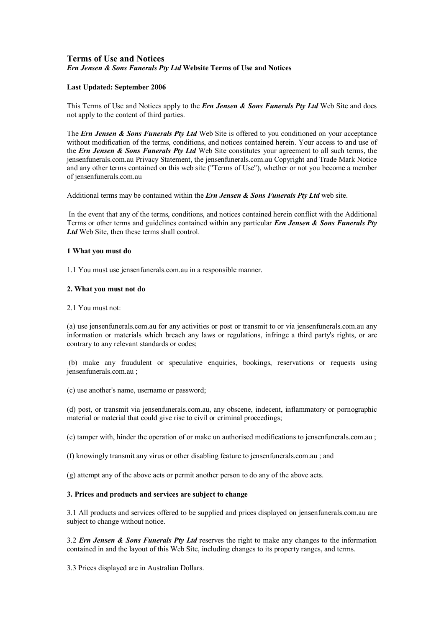# **Terms of Use and Notices** *Ern Jensen & Sons Funerals Pty Ltd* **Website Terms of Use and Notices**

## **Last Updated: September 2006**

This Terms of Use and Notices apply to the *Ern Jensen & Sons Funerals Pty Ltd* Web Site and does not apply to the content of third parties.

The *Ern Jensen & Sons Funerals Pty Ltd* Web Site is offered to you conditioned on your acceptance without modification of the terms, conditions, and notices contained herein. Your access to and use of the *Ern Jensen & Sons Funerals Pty Ltd* Web Site constitutes your agreement to all such terms, the jensenfunerals.com.au Privacy Statement, the jensenfunerals.com.au Copyright and Trade Mark Notice and any other terms contained on this web site ("Terms of Use"), whether or not you become a member of jensenfunerals.com.au

Additional terms may be contained within the *Ern Jensen & Sons Funerals Pty Ltd* web site.

In the event that any of the terms, conditions, and notices contained herein conflict with the Additional Terms or other terms and guidelines contained within any particular *Ern Jensen & Sons Funerals Pty* Ltd Web Site, then these terms shall control.

## **1 What you must do**

1.1 You must use jensenfunerals.com.au in a responsible manner.

#### **2. What you must not do**

#### 2.1 You must not:

(a) use jensenfunerals.com.au for any activities or post or transmit to or via jensenfunerals.com.au any information or materials which breach any laws or regulations, infringe a third party's rights, or are contrary to any relevant standards or codes;

(b) make any fraudulent or speculative enquiries, bookings, reservations or requests using jensenfunerals.com.au ;

(c) use another's name, username or password;

(d) post, or transmit via jensenfunerals.com.au, any obscene, indecent, inflammatory or pornographic material or material that could give rise to civil or criminal proceedings;

(e) tamper with, hinder the operation of or make un authorised modifications to jensenfunerals.com.au ;

(f) knowingly transmit any virus or other disabling feature to jensenfunerals.com.au ; and

(g) attempt any of the above acts or permit another person to do any of the above acts.

# **3. Prices and products and services are subject to change**

3.1 All products and services offered to be supplied and prices displayed on jensenfunerals.com.au are subject to change without notice.

3.2 *Ern Jensen & Sons Funerals Pty Ltd* reserves the right to make any changes to the information contained in and the layout of this Web Site, including changes to its property ranges, and terms.

3.3 Prices displayed are in Australian Dollars.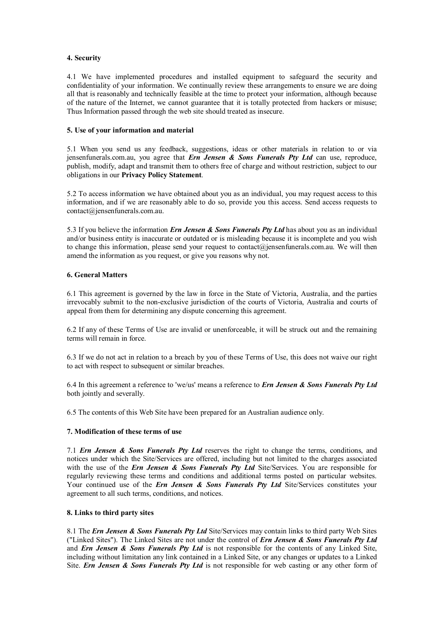# **4. Security**

4.1 We have implemented procedures and installed equipment to safeguard the security and confidentiality of your information. We continually review these arrangements to ensure we are doing all that is reasonably and technically feasible at the time to protect your information, although because of the nature of the Internet, we cannot guarantee that it is totally protected from hackers or misuse; Thus Information passed through the web site should treated as insecure.

## **5. Use of your information and material**

5.1 When you send us any feedback, suggestions, ideas or other materials in relation to or via jensenfunerals.com.au, you agree that *Ern Jensen & Sons Funerals Pty Ltd* can use, reproduce, publish, modify, adapt and transmit them to others free of charge and without restriction, subject to our obligations in our **Privacy Policy Statement**.

5.2 To access information we have obtained about you as an individual, you may request access to this information, and if we are reasonably able to do so, provide you this access. Send access requests to contact@jensenfunerals.com.au.

5.3 If you believe the information *Ern Jensen & Sons Funerals Pty Ltd* has about you as an individual and/or business entity is inaccurate or outdated or is misleading because it is incomplete and you wish to change this information, please send your request to contact@jensenfunerals.com.au. We will then amend the information as you request, or give you reasons why not.

# **6. General Matters**

6.1 This agreement is governed by the law in force in the State of Victoria, Australia, and the parties irrevocably submit to the nonexclusive jurisdiction of the courts of Victoria, Australia and courts of appeal from them for determining any dispute concerning this agreement.

6.2 If any of these Terms of Use are invalid or unenforceable, it will be struck out and the remaining terms will remain in force.

6.3 If we do not act in relation to a breach by you of these Terms of Use, this does not waive our right to act with respect to subsequent or similar breaches.

6.4 In this agreement a reference to 'we/us' means a reference to *Ern Jensen & Sons Funerals Pty Ltd* both jointly and severally.

6.5 The contents of this Web Site have been prepared for an Australian audience only.

## **7. Modification of these terms of use**

7.1 *Ern Jensen & Sons Funerals Pty Ltd* reserves the right to change the terms, conditions, and notices under which the Site/Services are offered, including but not limited to the charges associated with the use of the *Ern Jensen & Sons Funerals Pty Ltd* Site/Services. You are responsible for regularly reviewing these terms and conditions and additional terms posted on particular websites. Your continued use of the *Ern Jensen & Sons Funerals Pty Ltd* Site/Services constitutes your agreement to all such terms, conditions, and notices.

## **8. Links to third party sites**

8.1 The *Ern Jensen & Sons Funerals Pty Ltd* Site/Services may contain links to third party Web Sites ("Linked Sites"). The Linked Sites are not under the control of *Ern Jensen & Sons Funerals Pty Ltd* and *Ern Jensen & Sons Funerals Pty Ltd* is not responsible for the contents of any Linked Site, including without limitation any link contained in a Linked Site, or any changes or updates to a Linked Site. *Ern Jensen & Sons Funerals Pty Ltd* is not responsible for web casting or any other form of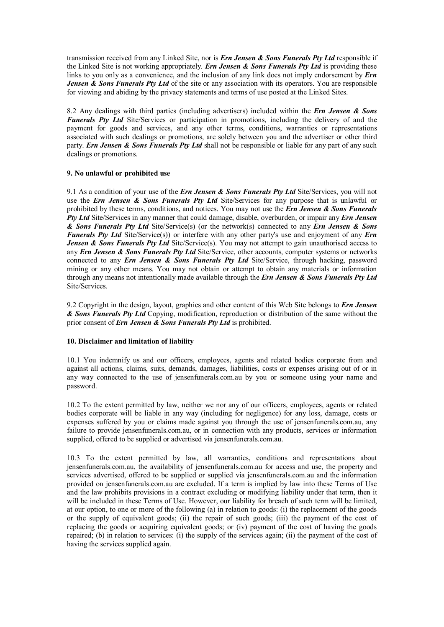transmission received from any Linked Site, nor is *Ern Jensen & Sons Funerals Pty Ltd* responsible if the Linked Site is not working appropriately. *Ern Jensen & Sons Funerals Pty Ltd* is providing these links to you only as a convenience, and the inclusion of any link does not imply endorsement by *Ern Jensen & Sons Funerals Pty Ltd* of the site or any association with its operators. You are responsible for viewing and abiding by the privacy statements and terms of use posted at the Linked Sites.

8.2 Any dealings with third parties (including advertisers) included within the *Ern Jensen & Sons Funerals Pty Ltd* Site/Services or participation in promotions, including the delivery of and the payment for goods and services, and any other terms, conditions, warranties or representations associated with such dealings or promotions, are solely between you and the advertiser or other third party. *Ern Jensen & Sons Funerals Pty Ltd* shall not be responsible or liable for any part of any such dealings or promotions.

## **9. No unlawful or prohibited use**

9.1 As a condition of your use of the *Ern Jensen & Sons Funerals Pty Ltd* Site/Services, you will not use the *Ern Jensen & Sons Funerals Pty Ltd* Site/Services for any purpose that is unlawful or prohibited by these terms, conditions, and notices. You may not use the *Ern Jensen & Sons Funerals Pty Ltd* Site/Services in any manner that could damage, disable, overburden, or impair any *Ern Jensen & Sons Funerals Pty Ltd* Site/Service(s) (or the network(s) connected to any *Ern Jensen & Sons Funerals Pty Ltd* Site/Service(s)) or interfere with any other party's use and enjoyment of any *Ern Jensen & Sons Funerals Pty Ltd* Site/Service(s). You may not attempt to gain unauthorised access to any *Ern Jensen & Sons Funerals Pty Ltd* Site/Service, other accounts, computer systems or networks connected to any *Ern Jensen & Sons Funerals Pty Ltd* Site/Service, through hacking, password mining or any other means. You may not obtain or attempt to obtain any materials or information through any means not intentionally made available through the *Ern Jensen & Sons Funerals Pty Ltd* Site/Services.

9.2 Copyright in the design, layout, graphics and other content of this Web Site belongs to *Ern Jensen & Sons Funerals Pty Ltd* Copying, modification, reproduction or distribution of the same without the prior consent of *Ern Jensen & Sons Funerals Pty Ltd* is prohibited.

#### **10. Disclaimer and limitation of liability**

10.1 You indemnify us and our officers, employees, agents and related bodies corporate from and against all actions, claims, suits, demands, damages, liabilities, costs or expenses arising out of or in any way connected to the use of jensenfunerals.com.au by you or someone using your name and password.

10.2 To the extent permitted by law, neither we nor any of our officers, employees, agents or related bodies corporate will be liable in any way (including for negligence) for any loss, damage, costs or expenses suffered by you or claims made against you through the use of jensenfunerals.com.au, any failure to provide jensenfunerals.com.au, or in connection with any products, services or information supplied, offered to be supplied or advertised via jensenfunerals.com.au.

10.3 To the extent permitted by law, all warranties, conditions and representations about jensenfunerals.com.au, the availability of jensenfunerals.com.au for access and use, the property and services advertised, offered to be supplied or supplied via jensenfunerals.com.au and the information provided on jensenfunerals.com.au are excluded. If a term is implied by law into these Terms of Use and the law prohibits provisions in a contract excluding or modifying liability under that term, then it will be included in these Terms of Use. However, our liability for breach of such term will be limited, at our option, to one or more of the following (a) in relation to goods: (i) the replacement of the goods or the supply of equivalent goods; (ii) the repair of such goods; (iii) the payment of the cost of replacing the goods or acquiring equivalent goods; or (iv) payment of the cost of having the goods repaired; (b) in relation to services: (i) the supply of the services again; (ii) the payment of the cost of having the services supplied again.